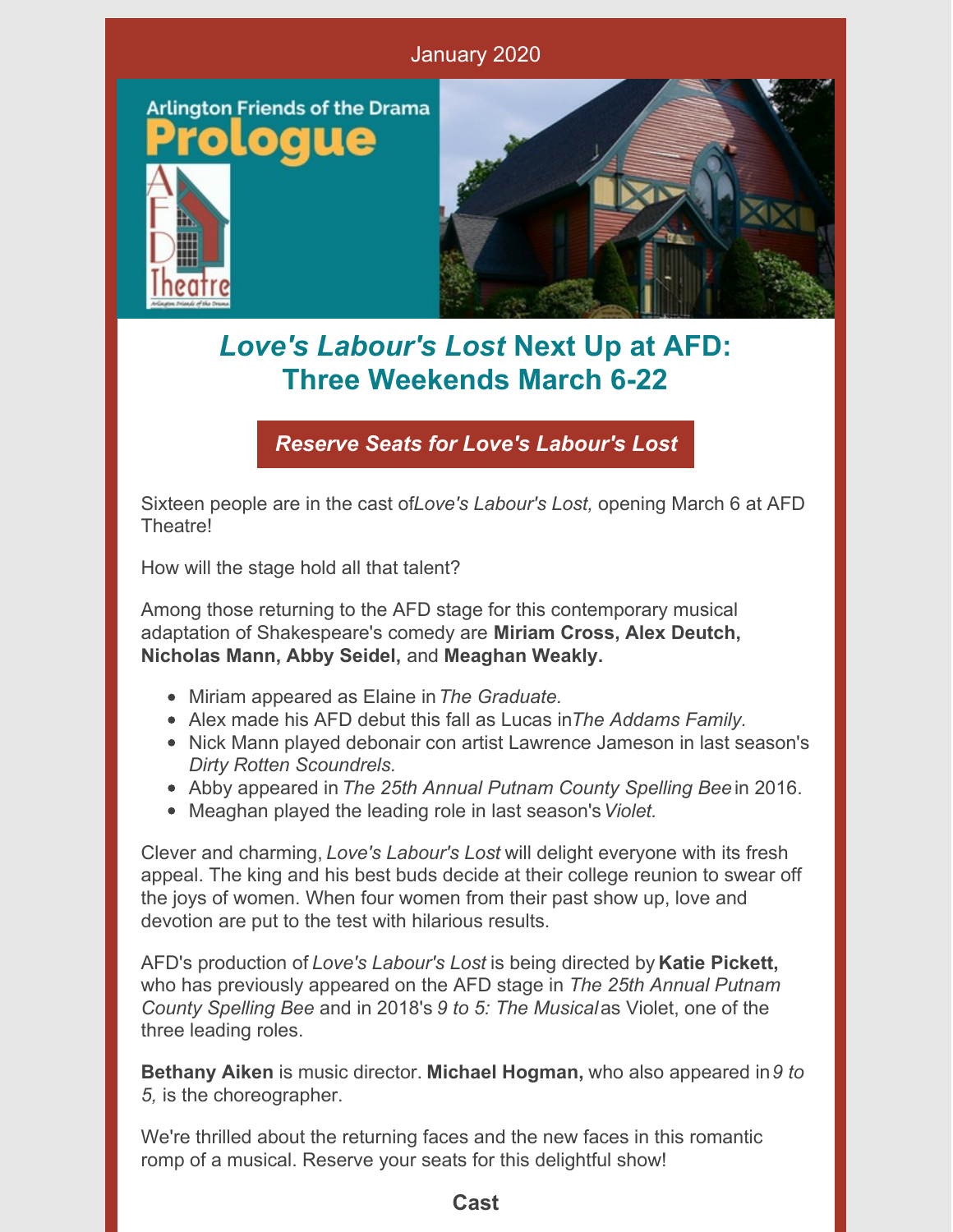

## *Love's Labour's Lost* **Next Up at AFD: Three Weekends March 6-22**

*Reserve Seats for Love's [Labour's](https://www.afdtheatre.org/up-next) Lost*

Sixteen people are in the cast of*Love's Labour's Lost,* opening March 6 at AFD **Theatre!** 

How will the stage hold all that talent?

Among those returning to the AFD stage for this contemporary musical adaptation of Shakespeare's comedy are **Miriam Cross, Alex Deutch, Nicholas Mann, Abby Seidel,** and **Meaghan Weakly.**

- Miriam appeared as Elaine in*The Graduate.*
- Alex made his AFD debut this fall as Lucas in*The Addams Family.*
- Nick Mann played debonair con artist Lawrence Jameson in last season's *Dirty Rotten Scoundrels.*
- Abby appeared in *The 25th Annual Putnam County Spelling Bee* in 2016.
- Meaghan played the leading role in last season's*Violet.*

Clever and charming, *Love's Labour's Lost* will delight everyone with its fresh appeal. The king and his best buds decide at their college reunion to swear off the joys of women. When four women from their past show up, love and devotion are put to the test with hilarious results.

AFD's production of *Love's Labour's Lost* is being directed by **Katie Pickett,** who has previously appeared on the AFD stage in *The 25th Annual Putnam County Spelling Bee* and in 2018's *9 to 5: The Musical*as Violet, one of the three leading roles.

**Bethany Aiken** is music director. **Michael Hogman,** who also appeared in*9 to 5,* is the choreographer.

We're thrilled about the returning faces and the new faces in this romantic romp of a musical. Reserve your seats for this delightful show!

### **Cast**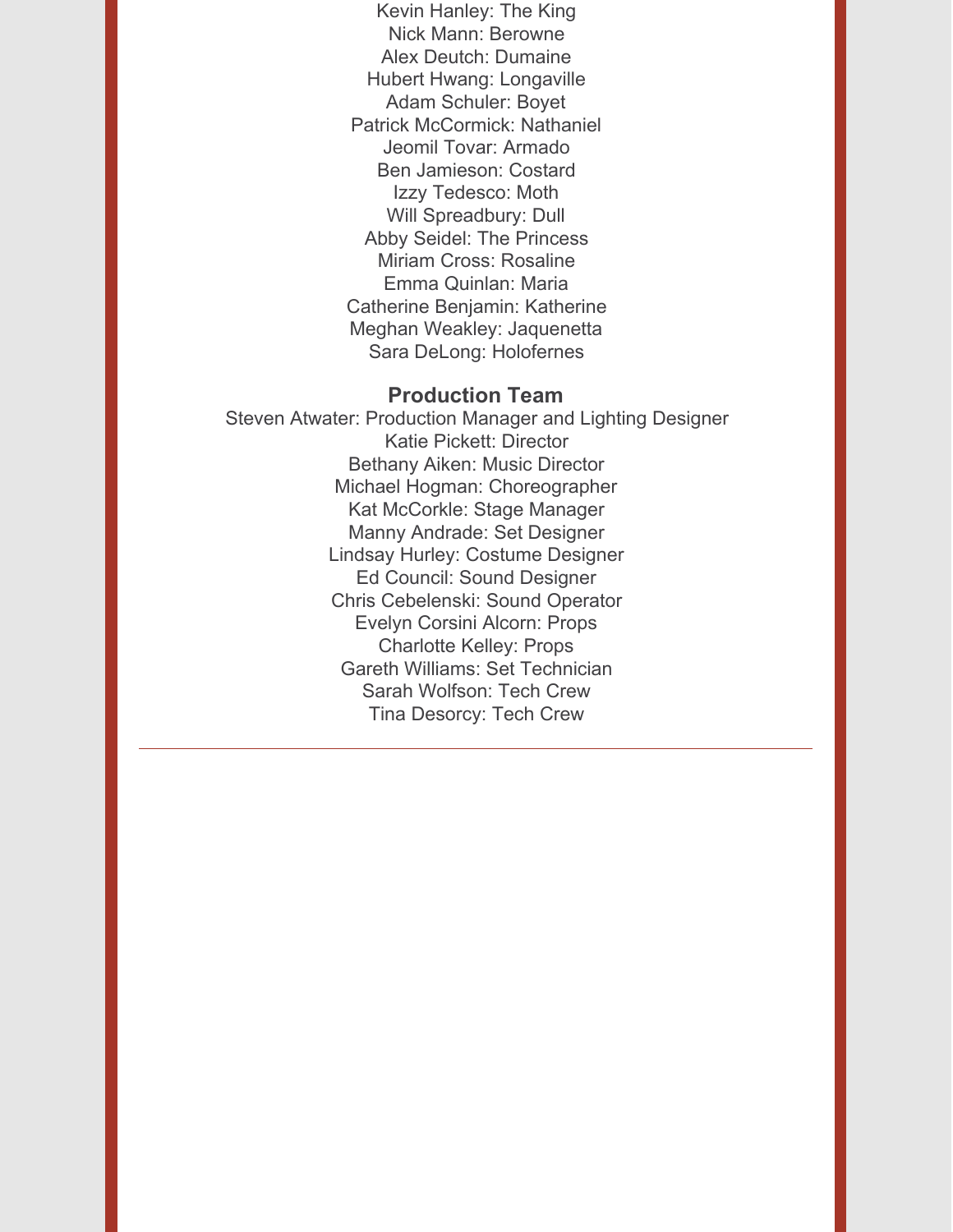Kevin Hanley: The King Nick Mann: Berowne Alex Deutch: Dumaine Hubert Hwang: Longaville Adam Schuler: Boyet Patrick McCormick: Nathaniel Jeomil Tovar: Armado Ben Jamieson: Costard Izzy Tedesco: Moth Will Spreadbury: Dull Abby Seidel: The Princess Miriam Cross: Rosaline Emma Quinlan: Maria Catherine Benjamin: Katherine Meghan Weakley: Jaquenetta Sara DeLong: Holofernes

#### **Production Team**

Steven Atwater: Production Manager and Lighting Designer Katie Pickett: Director Bethany Aiken: Music Director Michael Hogman: Choreographer Kat McCorkle: Stage Manager Manny Andrade: Set Designer Lindsay Hurley: Costume Designer Ed Council: Sound Designer Chris Cebelenski: Sound Operator Evelyn Corsini Alcorn: Props Charlotte Kelley: Props Gareth Williams: Set Technician Sarah Wolfson: Tech Crew Tina Desorcy: Tech Crew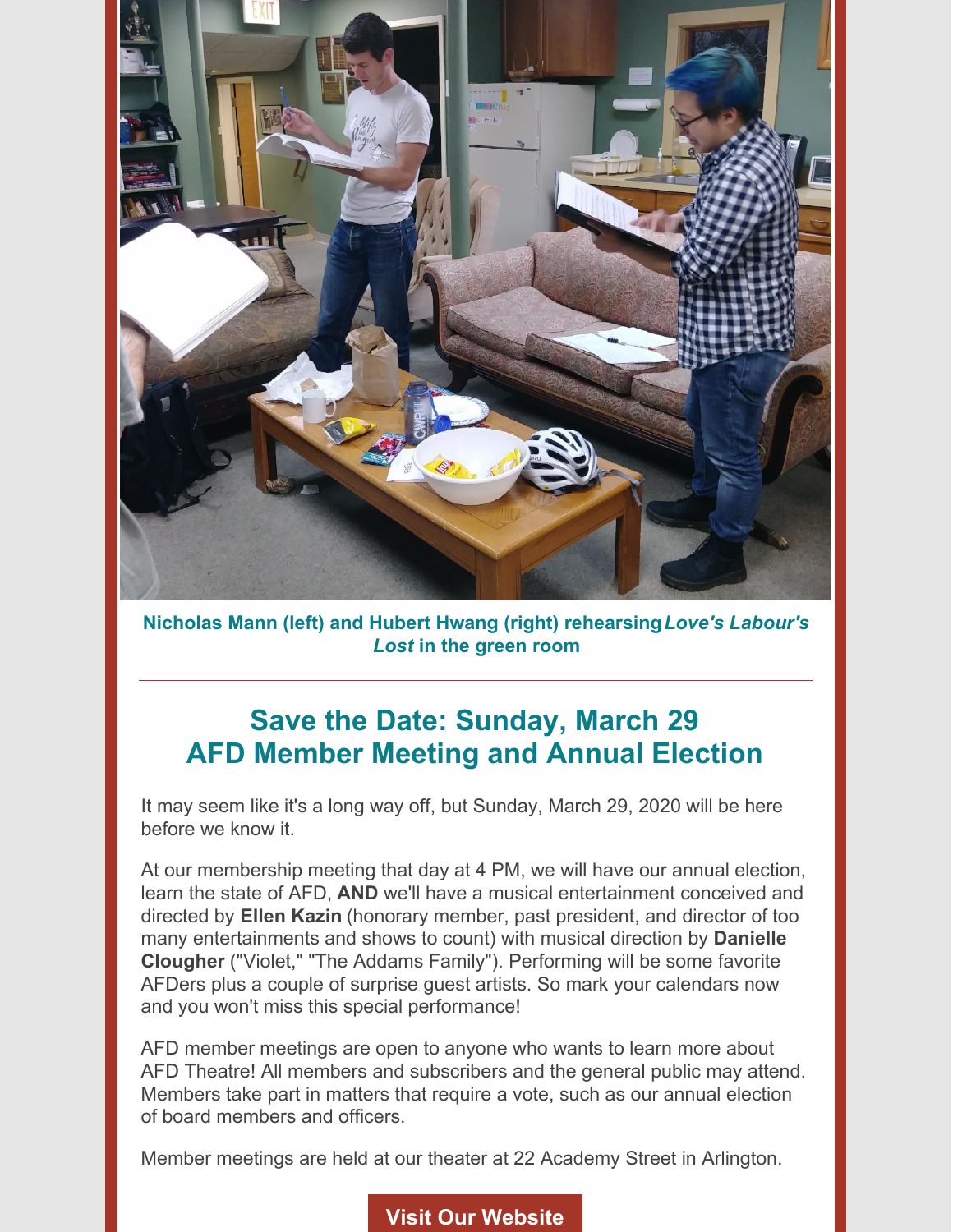

**Nicholas Mann (left) and Hubert Hwang (right) rehearsing***Love's Labour's Lost* **in the green room**

### **Save the Date: Sunday, March 29 AFD Member Meeting and Annual Election**

It may seem like it's a long way off, but Sunday, March 29, 2020 will be here before we know it.

At our membership meeting that day at 4 PM, we will have our annual election, learn the state of AFD, **AND** we'll have a musical entertainment conceived and directed by **Ellen Kazin** (honorary member, past president, and director of too many entertainments and shows to count) with musical direction by **Danielle Clougher** ("Violet," "The Addams Family"). Performing will be some favorite AFDers plus a couple of surprise guest artists. So mark your calendars now and you won't miss this special performance!

AFD member meetings are open to anyone who wants to learn more about AFD Theatre! All members and subscribers and the general public may attend. Members take part in matters that require a vote, such as our annual election of board members and officers.

Member meetings are held at our theater at 22 Academy Street in Arlington.

#### **Visit Our [Website](https://www.afdtheatre.org/)**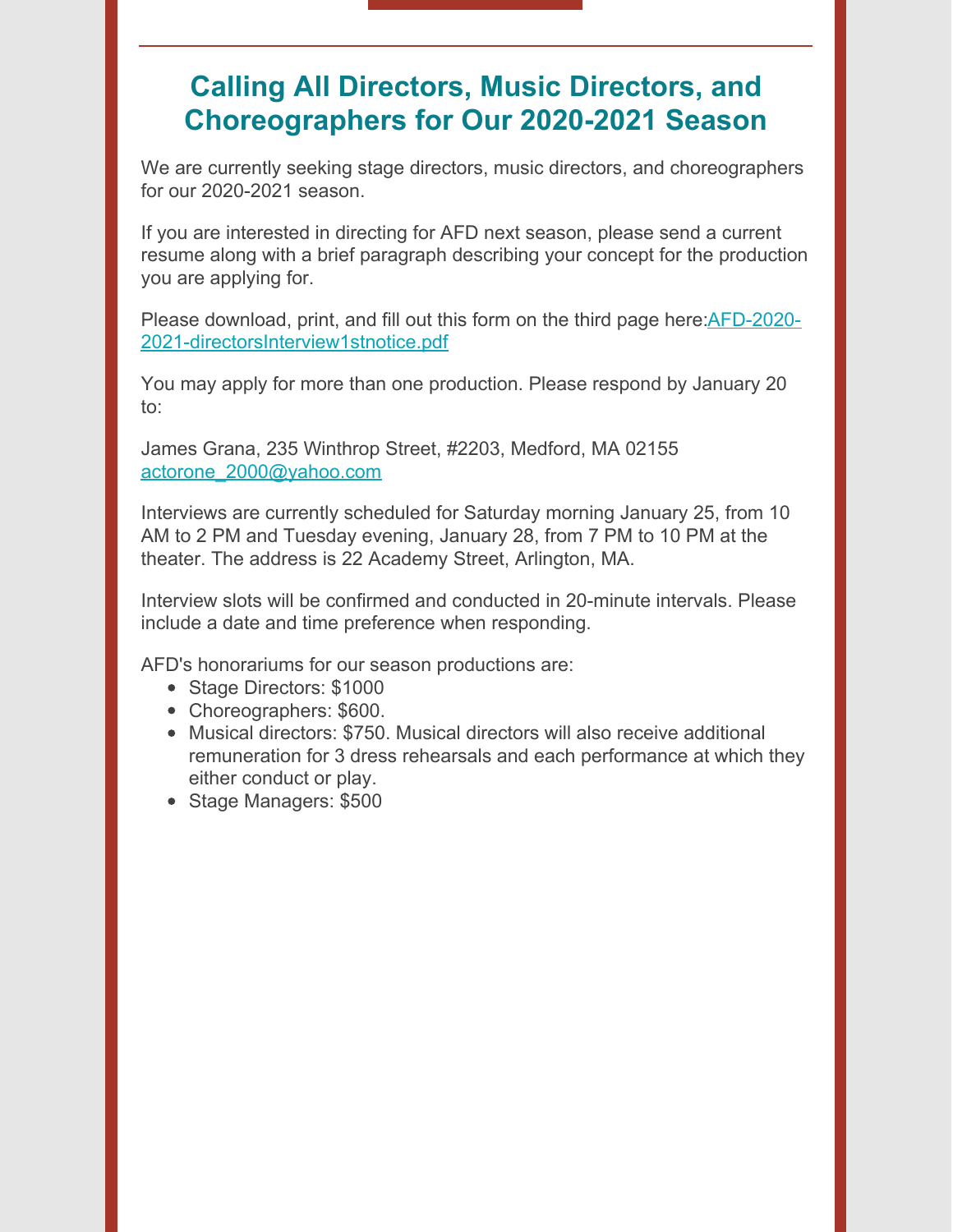### **Calling All Directors, Music Directors, and Choreographers for Our 2020-2021 Season**

We are currently seeking stage directors, music directors, and choreographers for our 2020-2021 season.

If you are interested in directing for AFD next season, please send a current resume along with a brief paragraph describing your concept for the production you are applying for.

Please download, print, and fill out this form on the third page here: AFD-2020-[2021-directorsInterview1stnotice.pdf](https://drive.google.com/file/d/1z3m1xG2ub8bcrgYlJyAzIHCWST3pIgtx/view)

You may apply for more than one production. Please respond by January 20 to:

James Grana, 235 Winthrop Street, #2203, Medford, MA 02155 [actorone\\_2000@yahoo.com](mailto:actorone_2000@yahoo.com)

Interviews are currently scheduled for Saturday morning January 25, from 10 AM to 2 PM and Tuesday evening, January 28, from 7 PM to 10 PM at the theater. The address is 22 Academy Street, Arlington, MA.

Interview slots will be confirmed and conducted in 20-minute intervals. Please include a date and time preference when responding.

AFD's honorariums for our season productions are:

- Stage Directors: \$1000
- Choreographers: \$600.
- Musical directors: \$750. Musical directors will also receive additional remuneration for 3 dress rehearsals and each performance at which they either conduct or play.
- Stage Managers: \$500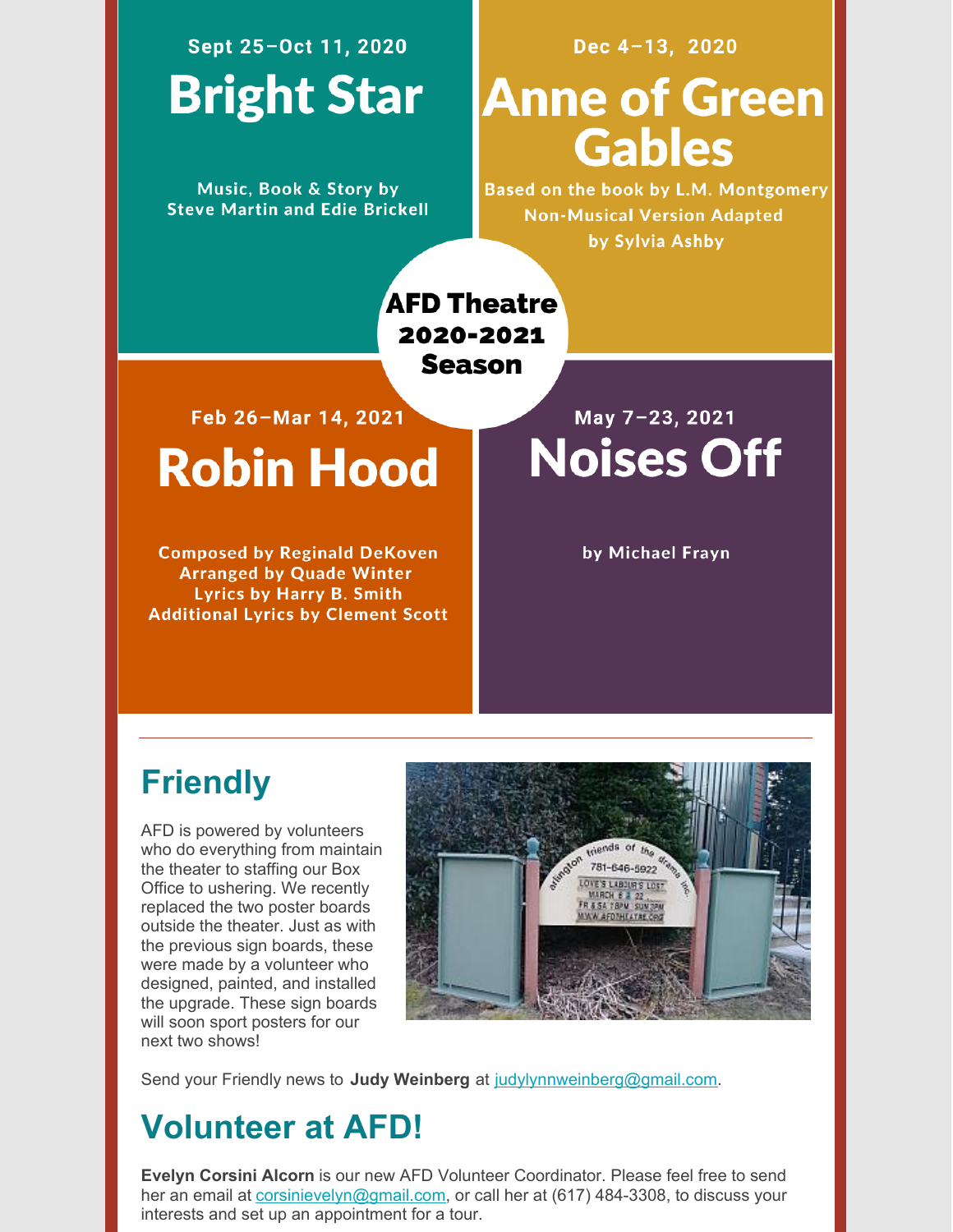## Sept 25-Oct 11, 2020 **Bright Star**

Music, Book & Story by **Steve Martin and Edie Brickell** 

### Dec 4-13, 2020

# **Anne of Green Gables**

Based on the book by L.M. Montgomery **Non-Musical Version Adapted** by Sylvia Ashby

**AFD Theatre** 2020-2021 **Season** 

Feb 26-Mar 14, 2021

# **Robin Hood**

**Composed by Reginald DeKoven Arranged by Quade Winter Lyrics by Harry B. Smith Additional Lyrics by Clement Scott** 

May 7-23, 2021 **Noises Off** 

by Michael Frayn

## **Friendly**

AFD is powered by volunteers who do everything from maintain the theater to staffing our Box Office to ushering. We recently replaced the two poster boards outside the theater. Just as with the previous sign boards, these were made by a volunteer who designed, painted, and installed the upgrade. These sign boards will soon sport posters for our next two shows!



Send your Friendly news to **Judy Weinberg** at [judylynnweinberg@gmail.com](mailto:judylynnweinberg@gmail.com).

## **Volunteer at AFD!**

**Evelyn Corsini Alcorn** is our new AFD Volunteer Coordinator. Please feel free to send her an email at [corsinievelyn@gmail.com](mailto:corsinievelyn@gmail.com), or call her at (617) 484-3308, to discuss your interests and set up an appointment for a tour.